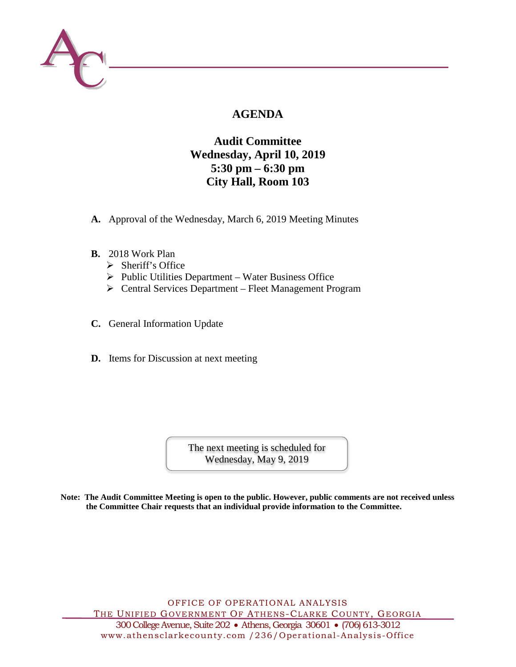

# **AGENDA**

# **Audit Committee Wednesday, April 10, 2019 5:30 pm – 6:30 pm City Hall, Room 103**

- **A.** Approval of the Wednesday, March 6, 2019 Meeting Minutes
- **B.** 2018 Work Plan
	- $\triangleright$  Sheriff's Office
	- $\triangleright$  Public Utilities Department Water Business Office
	- Central Services Department Fleet Management Program
- **C.** General Information Update
- **D.** Items for Discussion at next meeting

The next meeting is scheduled for Wednesday, May 9, 2019

**Note: The Audit Committee Meeting is open to the public. However, public comments are not received unless the Committee Chair requests that an individual provide information to the Committee.**

OFFICE OF OPERATIONAL ANALYSIS THE UNIFIED GOVERNMENT OF ATHENS-CLARKE COUNTY, GEORGIA 300 College Avenue, Suite 202 • Athens, Georgia 30601 • (706) 613-3012 www.athensclarkecounty.com /236/Operational -Analysis-Office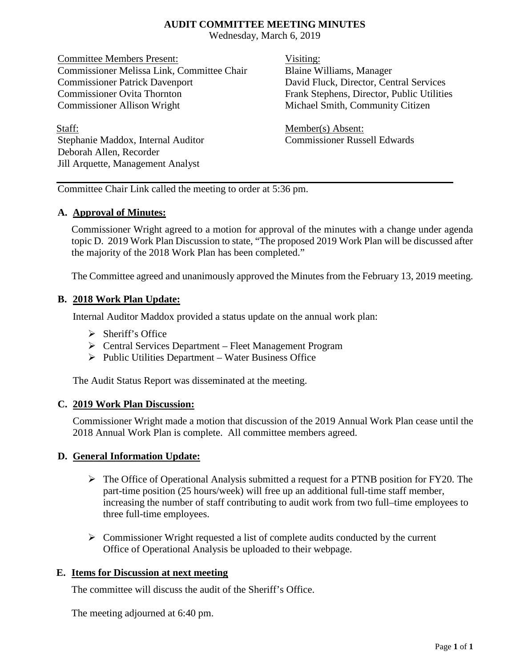### **AUDIT COMMITTEE MEETING MINUTES**

Wednesday, March 6, 2019

Committee Members Present: Visiting: Commissioner Melissa Link, Committee Chair Blaine Williams, Manager Commissioner Patrick Davenport David Fluck, Director, Central Services Commissioner Ovita Thornton Frank Stephens, Director, Public Utilities Commissioner Allison Wright Michael Smith, Community Citizen

Staff: Member(s) Absent: Stephanie Maddox, Internal Auditor Commissioner Russell Edwards Deborah Allen, Recorder Jill Arquette, Management Analyst

Committee Chair Link called the meeting to order at 5:36 pm.

### **A. Approval of Minutes:**

Commissioner Wright agreed to a motion for approval of the minutes with a change under agenda topic D. 2019 Work Plan Discussion to state, "The proposed 2019 Work Plan will be discussed after the majority of the 2018 Work Plan has been completed."

The Committee agreed and unanimously approved the Minutes from the February 13, 2019 meeting.

## **B. 2018 Work Plan Update:**

Internal Auditor Maddox provided a status update on the annual work plan:

- $\triangleright$  Sheriff's Office
- Central Services Department Fleet Management Program
- $\triangleright$  Public Utilities Department Water Business Office

The Audit Status Report was disseminated at the meeting.

### **C. 2019 Work Plan Discussion:**

Commissioner Wright made a motion that discussion of the 2019 Annual Work Plan cease until the 2018 Annual Work Plan is complete. All committee members agreed.

## **D. General Information Update:**

- The Office of Operational Analysis submitted a request for a PTNB position for FY20. The part-time position (25 hours/week) will free up an additional full-time staff member, increasing the number of staff contributing to audit work from two full–time employees to three full-time employees.
- $\triangleright$  Commissioner Wright requested a list of complete audits conducted by the current Office of Operational Analysis be uploaded to their webpage.

## **E. Items for Discussion at next meeting**

The committee will discuss the audit of the Sheriff's Office.

The meeting adjourned at 6:40 pm.